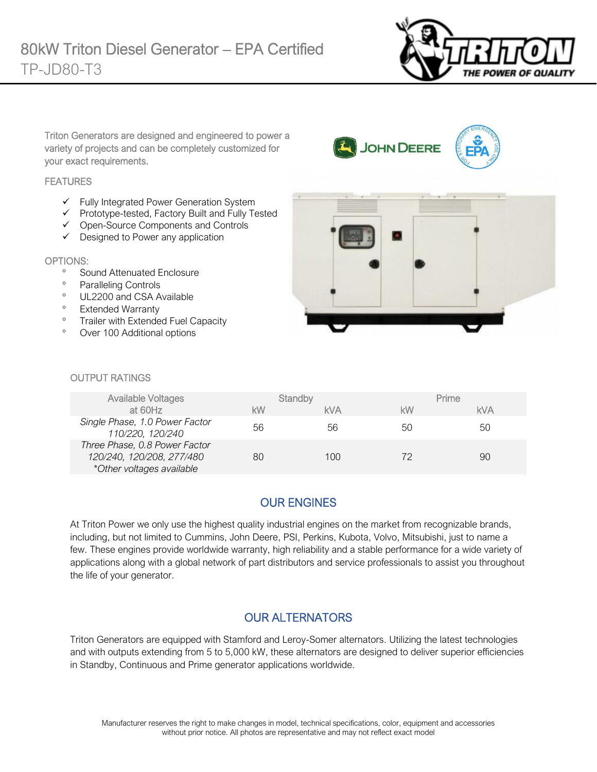

Triton Generators are designed and engineered to power a variety of projects and can be completely customized for your exact requirements.

#### **FEATURES**

- ✓ Fully Integrated Power Generation System
- ✓ Prototype-tested, Factory Built and Fully Tested
- ✓ Open-Source Components and Controls
- ✓ Designed to Power any application

#### OPTIONS:

- <sup>o</sup> Sound Attenuated Enclosure
- <sup>o</sup> Paralleling Controls
- <sup>o</sup> UL2200 and CSA Available
- <sup>o</sup> Extended Warranty
- <sup>o</sup> Trailer with Extended Fuel Capacity
- Over 100 Additional options



JOHN DEERE

#### OUTPUT RATINGS

| <b>Available Voltages</b>                                                               | Standby |            | Prime |            |
|-----------------------------------------------------------------------------------------|---------|------------|-------|------------|
| at 60Hz                                                                                 | kW      | <b>kVA</b> | kW    | <b>kVA</b> |
| Single Phase, 1.0 Power Factor<br>110/220, 120/240                                      | 56      | 56         | 50    | 50         |
| Three Phase, 0.8 Power Factor<br>120/240, 120/208, 277/480<br>*Other voltages available | 80      | 100        | 72    | 90         |

# OUR ENGINES

At Triton Power we only use the highest quality industrial engines on the market from recognizable brands, including, but not limited to Cummins, John Deere, PSI, Perkins, Kubota, Volvo, Mitsubishi, just to name a few. These engines provide worldwide warranty, high reliability and a stable performance for a wide variety of applications along with a global network of part distributors and service professionals to assist you throughout the life of your generator.

### OUR ALTERNATORS

Triton Generators are equipped with Stamford and Leroy-Somer alternators. Utilizing the latest technologies and with outputs extending from 5 to 5,000 kW, these alternators are designed to deliver superior efficiencies in Standby, Continuous and Prime generator applications worldwide.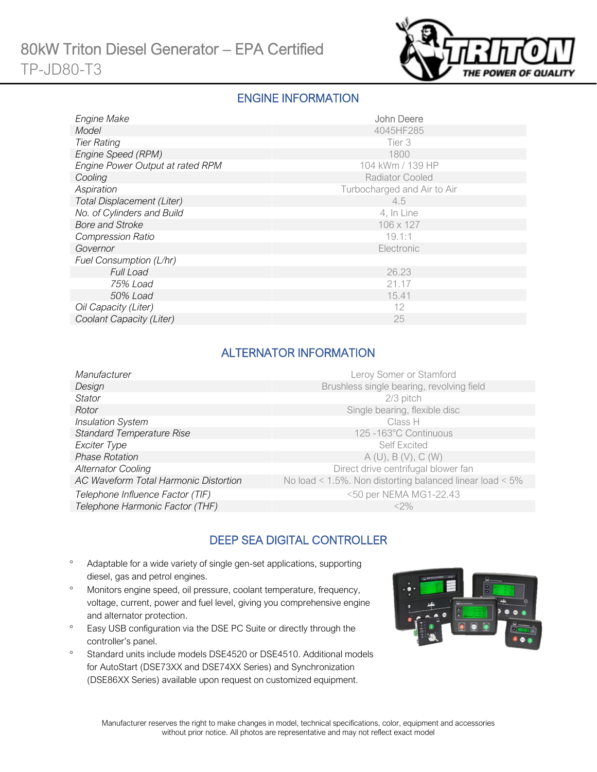

#### ENGINE INFORMATION

| <b>Engine Make</b>                | John Deere                  |
|-----------------------------------|-----------------------------|
| Model                             | 4045HF285                   |
| <b>Tier Rating</b>                | Tier 3                      |
| Engine Speed (RPM)                | 1800                        |
| Engine Power Output at rated RPM  | 104 kWm / 139 HP            |
| Cooling                           | <b>Radiator Cooled</b>      |
| Aspiration                        | Turbocharged and Air to Air |
| <b>Total Displacement (Liter)</b> | 4.5                         |
| No. of Cylinders and Build        | 4, In Line                  |
| <b>Bore and Stroke</b>            | 106 x 127                   |
| <b>Compression Ratio</b>          | 19.1:1                      |
| Governor                          | Electronic                  |
| Fuel Consumption (L/hr)           |                             |
| <b>Full Load</b>                  | 26.23                       |
| 75% Load                          | 21.17                       |
| 50% Load                          | 15.41                       |
| Oil Capacity (Liter)              | 12                          |
| Coolant Capacity (Liter)          | 25                          |

### ALTERNATOR INFORMATION

| Manufacturer                          | Leroy Somer or Stamford                                  |
|---------------------------------------|----------------------------------------------------------|
| Design                                | Brushless single bearing, revolving field                |
| Stator                                | 2/3 pitch                                                |
| Rotor                                 | Single bearing, flexible disc                            |
| <b>Insulation System</b>              | Class H                                                  |
| <b>Standard Temperature Rise</b>      | 125 -163°C Continuous                                    |
| Exciter Type                          | <b>Self Excited</b>                                      |
| <b>Phase Rotation</b>                 | A(U), B(V), C(W)                                         |
| <b>Alternator Cooling</b>             | Direct drive centrifugal blower fan                      |
| AC Waveform Total Harmonic Distortion | No load < 1.5%. Non distorting balanced linear load < 5% |
| Telephone Influence Factor (TIF)      | <50 per NEMA MG1-22.43                                   |
| Telephone Harmonic Factor (THF)       | $<$ 2%                                                   |

# DEEP SEA DIGITAL CONTROLLER

- Adaptable for a wide variety of single gen-set applications, supporting diesel, gas and petrol engines.
- Monitors engine speed, oil pressure, coolant temperature, frequency, voltage, current, power and fuel level, giving you comprehensive engine and alternator protection.
- <sup>o</sup> Easy USB configuration via the DSE PC Suite or directly through the controller's panel.
- <sup>o</sup> Standard units include models DSE4520 or DSE4510. Additional models for AutoStart (DSE73XX and DSE74XX Series) and Synchronization (DSE86XX Series) available upon request on customized equipment.

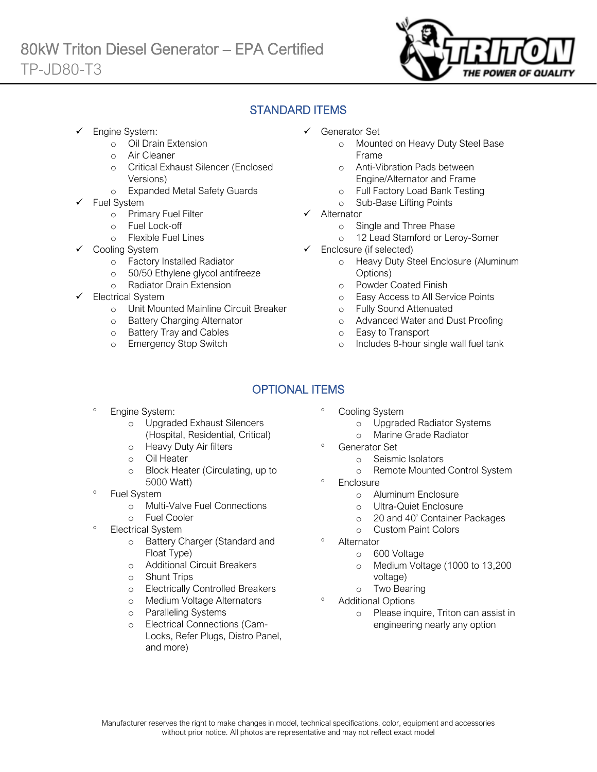

### STANDARD ITEMS

Engine System:

Ī

- o Oil Drain Extension
- o Air Cleaner
- o Critical Exhaust Silencer (Enclosed Versions)
- o Expanded Metal Safety Guards
- Fuel System
	- o Primary Fuel Filter
	- o Fuel Lock-off
		- o Flexible Fuel Lines
	- Cooling System
		- o Factory Installed Radiator
		- o 50/50 Ethylene glycol antifreeze
		- o Radiator Drain Extension
- Electrical System
	- o Unit Mounted Mainline Circuit Breaker
	- o Battery Charging Alternator
	- o Battery Tray and Cables
	- o Emergency Stop Switch
- ✓ Generator Set
	- o Mounted on Heavy Duty Steel Base Frame
	- o Anti-Vibration Pads between Engine/Alternator and Frame
	- o Full Factory Load Bank Testing
	- o Sub-Base Lifting Points
- ✓ Alternator
	- o Single and Three Phase
	- o 12 Lead Stamford or Leroy-Somer
- $\checkmark$  Enclosure (if selected)
	- o Heavy Duty Steel Enclosure (Aluminum Options)
	- o Powder Coated Finish
	- o Easy Access to All Service Points
	- o Fully Sound Attenuated
	- o Advanced Water and Dust Proofing
	- o Easy to Transport
	- o Includes 8-hour single wall fuel tank

# OPTIONAL ITEMS

- Engine System:
	- o Upgraded Exhaust Silencers (Hospital, Residential, Critical)
	- o Heavy Duty Air filters
	- o Oil Heater
	- o Block Heater (Circulating, up to 5000 Watt)
- Fuel System
	- o Multi-Valve Fuel Connections
	- o Fuel Cooler
- Electrical System
	- o Battery Charger (Standard and Float Type)
	- o Additional Circuit Breakers
	- o Shunt Trips
	- o Electrically Controlled Breakers
	- o Medium Voltage Alternators
	- o Paralleling Systems
	- o Electrical Connections (Cam-Locks, Refer Plugs, Distro Panel, and more)
- Cooling System
	- o Upgraded Radiator Systems
	- o Marine Grade Radiator
	- Generator Set
		- o Seismic Isolators
		- o Remote Mounted Control System
- **Enclosure** 
	- o Aluminum Enclosure
	- o Ultra-Quiet Enclosure
	- o 20 and 40' Container Packages
	- o Custom Paint Colors
- Alternator
	- o 600 Voltage
	- o Medium Voltage (1000 to 13,200 voltage)
	- o Two Bearing
- Additional Options
	- o Please inquire, Triton can assist in engineering nearly any option